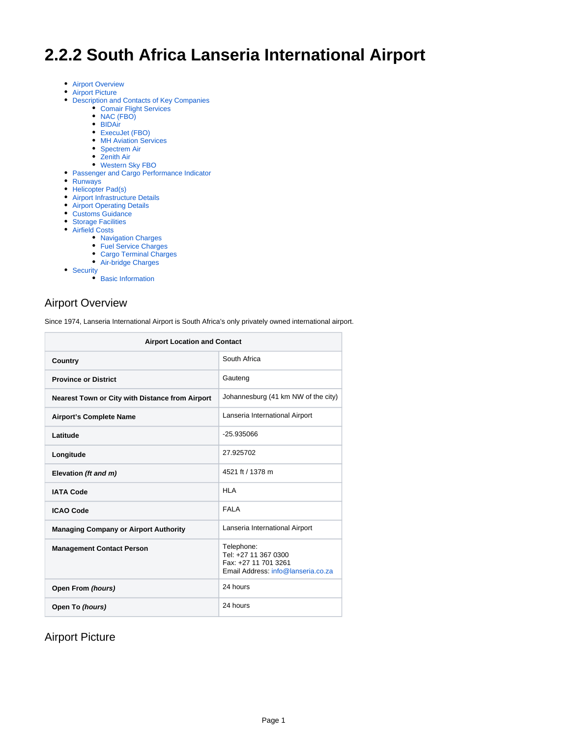# **2.2.2 South Africa Lanseria International Airport**

- [Airport Overview](#page-0-0)
- [Airport Picture](#page-0-1)
- [Description and Contacts of Key Companies](#page-1-0)
	- [Comair Flight Services](#page-1-1)
		- [NAC \(FBO\)](#page-1-2)
		- [BIDAir](#page-1-3)
		- [ExecuJet \(FBO\)](#page-2-0)
		- [MH Aviation Services](#page-2-1)
		- [Spectrem Air](#page-2-2) • [Zenith Air](#page-2-3)
		- [Western Sky FBO](#page-2-4)
- [Passenger and Cargo Performance Indicator](#page-3-0)
- [Runways](#page-3-1)
- [Helicopter Pad\(s\)](#page-3-2)
- [Airport Infrastructure Details](#page-4-0)
- **[Airport Operating Details](#page-4-1)**
- [Customs Guidance](#page-4-2)
- [Storage Facilities](#page-4-3)
- [Airfield Costs](#page-4-4)
	- [Navigation Charges](#page-5-0)
	- [Fuel Service Charges](#page-5-1)
	- [Cargo Terminal Charges](#page-5-2)
	- [Air-bridge Charges](#page-6-0)
- [Security](#page-6-1)
	- $\bullet$  [Basic Information](#page-6-2)

# <span id="page-0-0"></span>Airport Overview

Since 1974, Lanseria International Airport is South Africa's only privately owned international airport.

| <b>Airport Location and Contact</b>                    |                                                                                                  |  |
|--------------------------------------------------------|--------------------------------------------------------------------------------------------------|--|
| Country                                                | South Africa                                                                                     |  |
| <b>Province or District</b>                            | Gauteng                                                                                          |  |
| <b>Nearest Town or City with Distance from Airport</b> | Johannesburg (41 km NW of the city)                                                              |  |
| <b>Airport's Complete Name</b>                         | Lanseria International Airport                                                                   |  |
| Latitude                                               | $-25.935066$                                                                                     |  |
| Longitude                                              | 27.925702                                                                                        |  |
| Elevation (ft and m)                                   | 4521 ft / 1378 m                                                                                 |  |
| <b>IATA Code</b>                                       | HI A                                                                                             |  |
| <b>ICAO Code</b>                                       | <b>FAI A</b>                                                                                     |  |
| <b>Managing Company or Airport Authority</b>           | Lanseria International Airport                                                                   |  |
| <b>Management Contact Person</b>                       | Telephone:<br>Tel: +27 11 367 0300<br>Fax: +27 11 701 3261<br>Email Address: info@lanseria.co.za |  |
| Open From (hours)                                      | 24 hours                                                                                         |  |
| Open To (hours)                                        | 24 hours                                                                                         |  |

<span id="page-0-1"></span>Airport Picture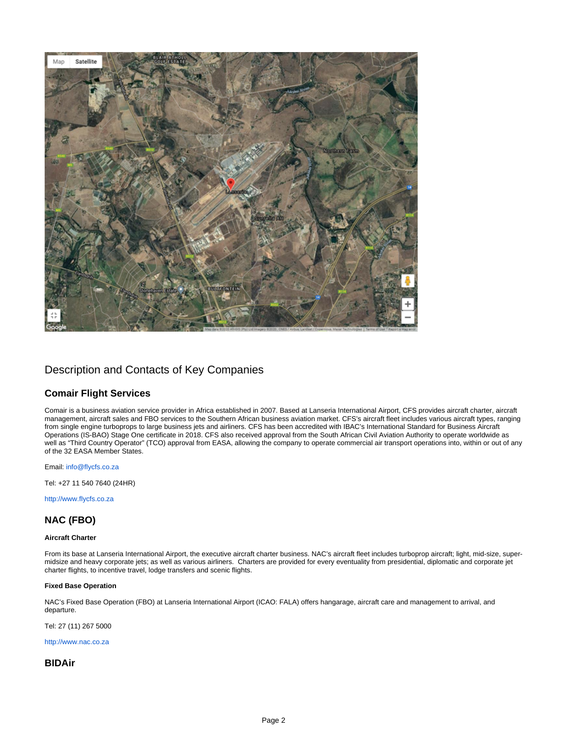

# <span id="page-1-0"></span>Description and Contacts of Key Companies

### <span id="page-1-1"></span>**Comair Flight Services**

Comair is a business aviation service provider in Africa established in 2007. Based at Lanseria International Airport, CFS provides aircraft charter, aircraft management, aircraft sales and FBO services to the Southern African business aviation market. CFS's aircraft fleet includes various aircraft types, ranging from single engine turboprops to large business jets and airliners. CFS has been accredited with IBAC's International Standard for Business Aircraft Operations (IS-BAO) Stage One certificate in 2018. CFS also received approval from the South African Civil Aviation Authority to operate worldwide as well as "Third Country Operator" (TCO) approval from EASA, allowing the company to operate commercial air transport operations into, within or out of any of the 32 EASA Member States.

Email: [info@flycfs.co.za](mailto:info@flycfs.co.za)

Tel: +27 11 540 7640 (24HR)

[http://www.flycfs.co.za](http://www.flycfs.co.za/)

### <span id="page-1-2"></span>**NAC (FBO)**

#### **Aircraft Charter**

From its base at Lanseria International Airport, the executive aircraft charter business. NAC's aircraft fleet includes turboprop aircraft; light, mid-size, supermidsize and heavy corporate jets; as well as various airliners. Charters are provided for every eventuality from presidential, diplomatic and corporate jet charter flights, to incentive travel, lodge transfers and scenic flights.

#### **Fixed Base Operation**

NAC's Fixed Base Operation (FBO) at Lanseria International Airport (ICAO: FALA) offers hangarage, aircraft care and management to arrival, and departure.

Tel: 27 (11) 267 5000

[http://www.nac.co.za](http://www.nac.co.za/)

### <span id="page-1-3"></span>**BIDAir**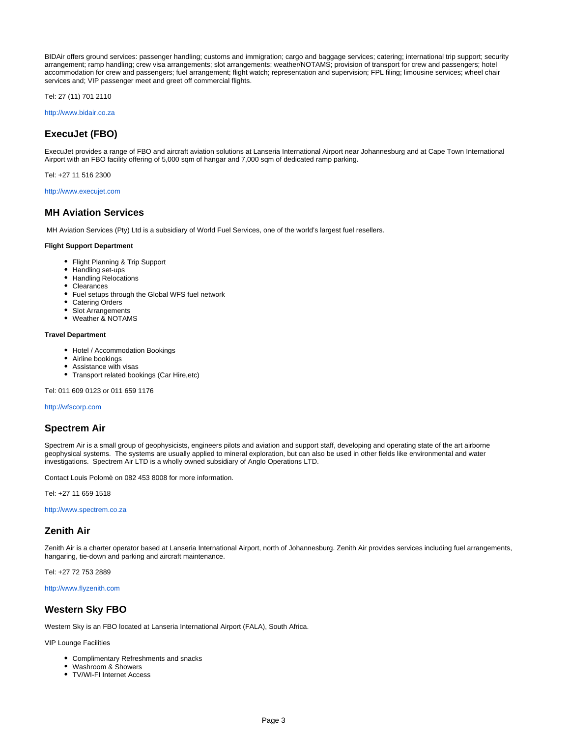BIDAir offers ground services: passenger handling; customs and immigration; cargo and baggage services; catering; international trip support; security arrangement; ramp handling; crew visa arrangements; slot arrangements; weather/NOTAMS; provision of transport for crew and passengers; hotel accommodation for crew and passengers; fuel arrangement; flight watch; representation and supervision; FPL filing; limousine services; wheel chair services and; VIP passenger meet and greet off commercial flights.

Tel: 27 (11) 701 2110

[http://www.bidair.co.za](http://www.bidair.co.za/)

### <span id="page-2-0"></span>**ExecuJet (FBO)**

ExecuJet provides a range of FBO and aircraft aviation solutions at Lanseria International Airport near Johannesburg and at Cape Town International Airport with an FBO facility offering of 5,000 sqm of hangar and 7,000 sqm of dedicated ramp parking.

Tel: +27 11 516 2300

#### [http://www.execujet.com](http://www.execujet.com/)

#### <span id="page-2-1"></span>**MH Aviation Services**

MH Aviation Services (Pty) Ltd is a subsidiary of World Fuel Services, one of the world's largest fuel resellers.

#### **Flight Support Department**

- Flight Planning & Trip Support
- Handling set-ups
- Handling Relocations
- Clearances
- Fuel setups through the Global WFS fuel network
- Catering Orders
- Slot Arrangements
- Weather & NOTAMS

#### **Travel Department**

- Hotel / Accommodation Bookings
- Airline bookings
- Assistance with visas
- Transport related bookings (Car Hire, etc)

Tel: 011 609 0123 or 011 659 1176

[http://wfscorp.com](http://wfscorp.com/)

#### <span id="page-2-2"></span>**Spectrem Air**

Spectrem Air is a small group of geophysicists, engineers pilots and aviation and support staff, developing and operating state of the art airborne geophysical systems. The systems are usually applied to mineral exploration, but can also be used in other fields like environmental and water investigations. Spectrem Air LTD is a wholly owned subsidiary of Anglo Operations LTD.

Contact Louis Polomè on 082 453 8008 for more information.

Tel: +27 11 659 1518

[http://www.spectrem.co.za](http://www.spectrem.co.za/)

### <span id="page-2-3"></span>**Zenith Air**

Zenith Air is a charter operator based at Lanseria International Airport, north of Johannesburg. Zenith Air provides services including fuel arrangements, hangaring, tie-down and parking and aircraft maintenance.

Tel: +27 72 753 2889

[http://www.flyzenith.com](http://www.flyzenith.com/)

### <span id="page-2-4"></span>**Western Sky FBO**

Western Sky is an FBO located at Lanseria International Airport (FALA), South Africa.

VIP Lounge Facilities

- Complimentary Refreshments and snacks
- Washroom & Showers
- TV/WI-FI Internet Access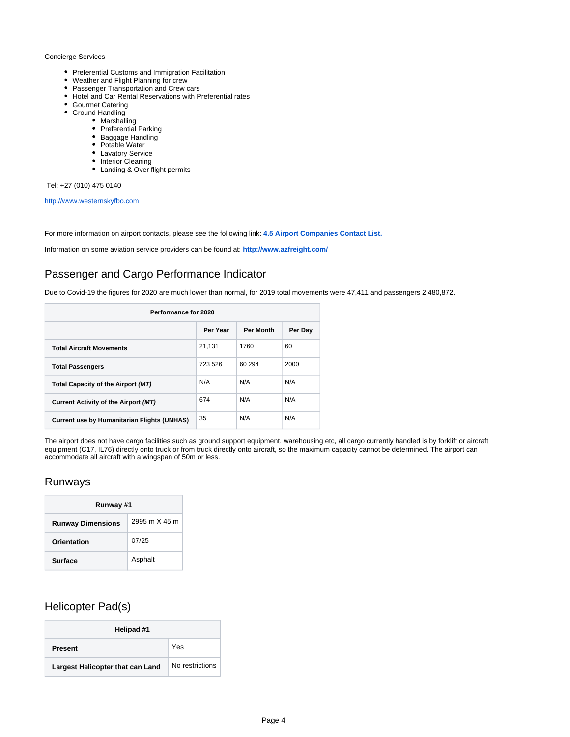#### Concierge Services

- Preferential Customs and Immigration Facilitation
- Weather and Flight Planning for crew
- Passenger Transportation and Crew cars
- Hotel and Car Rental Reservations with Preferential rates
- Gourmet Catering
- Ground Handling
	- Marshalling
	- Preferential Parking
	- Baggage Handling
	- Potable Water
	- Lavatory Service
	- Interior Cleaning
	- Landing & Over flight permits

Tel: +27 (010) 475 0140

[http://www.westernskyfbo.com](http://www.westernskyfbo.com/)

For more information on airport contacts, please see the following link: **[4.5 Airport Companies Contact List.](https://dlca.logcluster.org/display/DLCA/4.5+South+Africa+Airport+Companies+Contact+List)**

Information on some aviation service providers can be found at: **<http://www.azfreight.com/>**

# <span id="page-3-0"></span>Passenger and Cargo Performance Indicator

Due to Covid-19 the figures for 2020 are much lower than normal, for 2019 total movements were 47,411 and passengers 2,480,872.

| Performance for 2020                               |          |                  |         |
|----------------------------------------------------|----------|------------------|---------|
|                                                    | Per Year | <b>Per Month</b> | Per Day |
| <b>Total Aircraft Movements</b>                    | 21.131   | 1760             | 60      |
| <b>Total Passengers</b>                            | 723 526  | 60 294           | 2000    |
| Total Capacity of the Airport (MT)                 | N/A      | N/A              | N/A     |
| Current Activity of the Airport (MT)               | 674      | N/A              | N/A     |
| <b>Current use by Humanitarian Flights (UNHAS)</b> | 35       | N/A              | N/A     |

The airport does not have cargo facilities such as ground support equipment, warehousing etc, all cargo currently handled is by forklift or aircraft equipment (C17, IL76) directly onto truck or from truck directly onto aircraft, so the maximum capacity cannot be determined. The airport can accommodate all aircraft with a wingspan of 50m or less.

# <span id="page-3-1"></span>Runways

| Runway #1                |               |  |  |
|--------------------------|---------------|--|--|
| <b>Runway Dimensions</b> | 2995 m X 45 m |  |  |
| Orientation              | 07/25         |  |  |
| <b>Surface</b>           | Asphalt       |  |  |

# <span id="page-3-2"></span>Helicopter Pad(s)

| Helipad #1                       |                 |  |
|----------------------------------|-----------------|--|
| <b>Present</b>                   | Yes             |  |
| Largest Helicopter that can Land | No restrictions |  |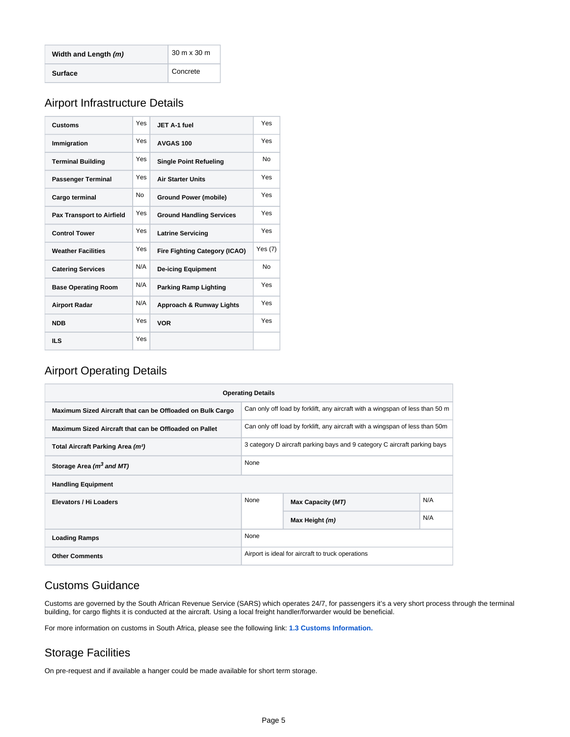| Width and Length (m) | 30 m x 30 m |
|----------------------|-------------|
| <b>Surface</b>       | Concrete    |

# <span id="page-4-0"></span>Airport Infrastructure Details

| <b>Customs</b>                   | <b>Yes</b> | JET A-1 fuel                         | Yes       |
|----------------------------------|------------|--------------------------------------|-----------|
| Immigration                      | Yes        | AVGAS <sub>100</sub>                 | Yes       |
| <b>Terminal Building</b>         | <b>Yes</b> | <b>Single Point Refueling</b>        | No.       |
| <b>Passenger Terminal</b>        | Yes        | <b>Air Starter Units</b>             | Yes       |
| Cargo terminal                   | No         | <b>Ground Power (mobile)</b>         | Yes       |
| <b>Pax Transport to Airfield</b> | <b>Yes</b> | <b>Ground Handling Services</b>      | Yes       |
| <b>Control Tower</b>             | Yes        | <b>Latrine Servicing</b>             | Yes       |
| <b>Weather Facilities</b>        | <b>Yes</b> | <b>Fire Fighting Category (ICAO)</b> | Yes(7)    |
| <b>Catering Services</b>         | N/A        | <b>De-icing Equipment</b>            | <b>No</b> |
| <b>Base Operating Room</b>       | N/A        | <b>Parking Ramp Lighting</b>         | Yes       |
| <b>Airport Radar</b>             | N/A        | Approach & Runway Lights             | Yes       |
| <b>NDB</b>                       | Yes        | <b>VOR</b>                           | Yes       |
| <b>ILS</b>                       | Yes        |                                      |           |

# <span id="page-4-1"></span>Airport Operating Details

| <b>Operating Details</b>                                   |                                                                           |                                                                               |     |  |
|------------------------------------------------------------|---------------------------------------------------------------------------|-------------------------------------------------------------------------------|-----|--|
| Maximum Sized Aircraft that can be Offloaded on Bulk Cargo |                                                                           | Can only off load by forklift, any aircraft with a wingspan of less than 50 m |     |  |
| Maximum Sized Aircraft that can be Offloaded on Pallet     |                                                                           | Can only off load by forklift, any aircraft with a wingspan of less than 50m  |     |  |
| Total Aircraft Parking Area (m <sup>2</sup> )              | 3 category D aircraft parking bays and 9 category C aircraft parking bays |                                                                               |     |  |
| Storage Area (m <sup>3</sup> and MT)                       | None                                                                      |                                                                               |     |  |
| <b>Handling Equipment</b>                                  |                                                                           |                                                                               |     |  |
| Elevators / Hi Loaders                                     | None                                                                      | <b>Max Capacity (MT)</b>                                                      | N/A |  |
|                                                            |                                                                           | Max Height (m)                                                                | N/A |  |
| <b>Loading Ramps</b>                                       | None                                                                      |                                                                               |     |  |
| <b>Other Comments</b>                                      | Airport is ideal for aircraft to truck operations                         |                                                                               |     |  |

# <span id="page-4-2"></span>Customs Guidance

Customs are governed by the South African Revenue Service (SARS) which operates 24/7, for passengers it's a very short process through the terminal building, for cargo flights it is conducted at the aircraft. Using a local freight handler/forwarder would be beneficial.

For more information on customs in South Africa, please see the following link: **[1.3 Customs Information.](https://dlca.logcluster.org/display/DLCA/1.3+South+Africa+Customs+Information)** 

# <span id="page-4-3"></span>Storage Facilities

<span id="page-4-4"></span>On pre-request and if available a hanger could be made available for short term storage.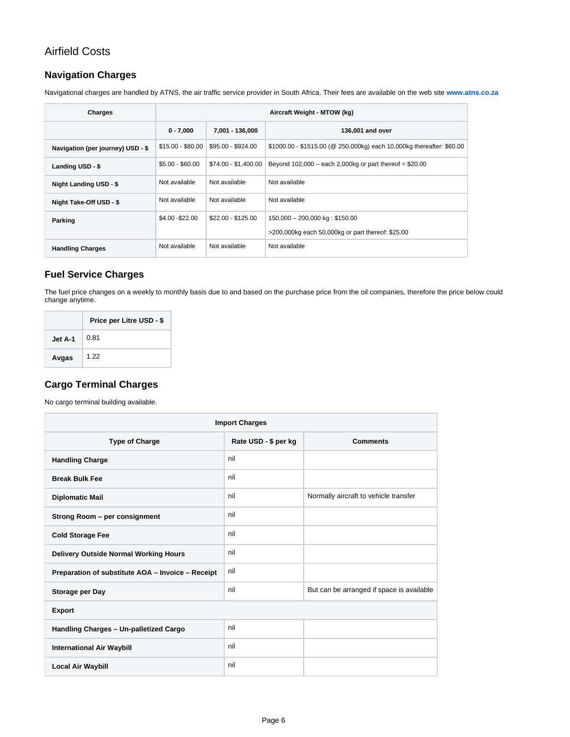# Airfield Costs

# <span id="page-5-0"></span>**Navigation Charges**

Navigational charges are handled by ATNS, the air traffic service provider in South Africa. Their fees are available on the web site **[www.atns.co.za](https://eur03.safelinks.protection.outlook.com/?url=http%3A%2F%2Fwww.atns.co.za%2F&data=04%7C01%7Ctheon.pretorius%40wfp.org%7C88df9ea829894047649408d8f04aa718%7C462ad9aed7d94206b87471b1e079776f%7C0%7C0%7C637523550874614004%7CUnknown%7CTWFpbGZsb3d8eyJWIjoiMC4wLjAwMDAiLCJQIjoiV2luMzIiLCJBTiI6Ik1haWwiLCJXVCI6Mn0%3D%7C1000&sdata=a03aBK6hmjpnnvIlhoyb9AApbX18Q42YkWLvw0NCMEw%3D&reserved=0)**

| Charges                           | Aircraft Weight - MTOW (kg) |                      |                                                                       |  |
|-----------------------------------|-----------------------------|----------------------|-----------------------------------------------------------------------|--|
|                                   | $0 - 7,000$                 | 7.001 - 136.000      | 136,001 and over                                                      |  |
| Navigation (per journey) USD - \$ | $$15.00 - $80.00$           | \$95.00 - \$924.00   | \$1000.00 - \$1515.00 (@ 250,000kg) each 10,000kg thereafter: \$60.00 |  |
| Landing USD - \$                  | $$5.00 - $60.00$            | \$74.00 - \$1,400.00 | Beyond $102,000$ – each 2,000kg or part thereof = \$20.00             |  |
| <b>Night Landing USD - \$</b>     | Not available               | Not available        | Not available                                                         |  |
| Night Take-Off USD - \$           | Not available               | Not available        | Not available                                                         |  |
| Parking                           | \$4.00 - \$22.00            | $$22.00 - $125.00$   | 150,000 - 200,000 kg: \$150.00                                        |  |
|                                   |                             |                      | >200,000kg each 50,000kg or part thereof: \$25.00                     |  |
| <b>Handling Charges</b>           | Not available               | Not available        | Not available                                                         |  |

# <span id="page-5-1"></span>**Fuel Service Charges**

The fuel price changes on a weekly to monthly basis due to and based on the purchase price from the oil companies, therefore the price below could change anytime.

|         | Price per Litre USD - \$ |
|---------|--------------------------|
| Jet A-1 | 0.81                     |
| Avgas   | 1.22                     |

# <span id="page-5-2"></span>**Cargo Terminal Charges**

No cargo terminal building available.

| <b>Import Charges</b>                             |                      |                                           |  |  |
|---------------------------------------------------|----------------------|-------------------------------------------|--|--|
| <b>Type of Charge</b>                             | Rate USD - \$ per kg | <b>Comments</b>                           |  |  |
| <b>Handling Charge</b>                            | nil                  |                                           |  |  |
| <b>Break Bulk Fee</b>                             | nil                  |                                           |  |  |
| <b>Diplomatic Mail</b>                            | nil                  | Normally aircraft to vehicle transfer     |  |  |
| Strong Room - per consignment                     | nil                  |                                           |  |  |
| <b>Cold Storage Fee</b>                           | nil                  |                                           |  |  |
| Delivery Outside Normal Working Hours             | nil                  |                                           |  |  |
| Preparation of substitute AOA - Invoice - Receipt | nil                  |                                           |  |  |
| Storage per Day                                   | nil                  | But can be arranged if space is available |  |  |
| <b>Export</b>                                     |                      |                                           |  |  |
| Handling Charges - Un-palletized Cargo            | nil                  |                                           |  |  |
| <b>International Air Waybill</b>                  | nil                  |                                           |  |  |
| <b>Local Air Waybill</b>                          | nil                  |                                           |  |  |